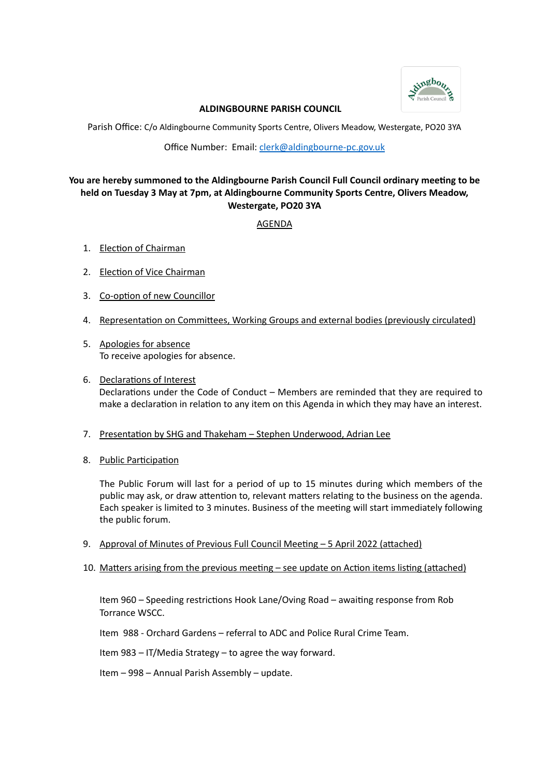

# **ALDINGBOURNE PARISH COUNCIL**

Parish Office: C/o Aldingbourne Community Sports Centre, Olivers Meadow, Westergate, PO20 3YA

Office Number: Email: [clerk@aldingbourne-pc.gov.uk](mailto:clerk@aldingbourne-pc.gov.uk)

# **You are hereby summoned to the Aldingbourne Parish Council Full Council ordinary meeting to be held on Tuesday 3 May at 7pm, at Aldingbourne Community Sports Centre, Olivers Meadow, Westergate, PO20 3YA**

AGENDA

- 1. Election of Chairman
- 2. Election of Vice Chairman
- 3. Co-option of new Councillor
- 4. Representation on Committees, Working Groups and external bodies (previously circulated)
- 5. Apologies for absence To receive apologies for absence.
- 6. Declarations of Interest Declarations under the Code of Conduct – Members are reminded that they are required to make a declaration in relation to any item on this Agenda in which they may have an interest.
- 7. Presentation by SHG and Thakeham Stephen Underwood, Adrian Lee
- 8. Public Participation

The Public Forum will last for a period of up to 15 minutes during which members of the public may ask, or draw attention to, relevant matters relating to the business on the agenda. Each speaker is limited to 3 minutes. Business of the meeting will start immediately following the public forum.

- 9. Approval of Minutes of Previous Full Council Meeting 5 April 2022 (attached)
- 10. Matters arising from the previous meeting see update on Action items listing (attached)

Item 960 – Speeding restrictions Hook Lane/Oving Road – awaiting response from Rob Torrance WSCC.

Item 988 - Orchard Gardens – referral to ADC and Police Rural Crime Team.

Item 983 – IT/Media Strategy – to agree the way forward.

Item – 998 – Annual Parish Assembly – update.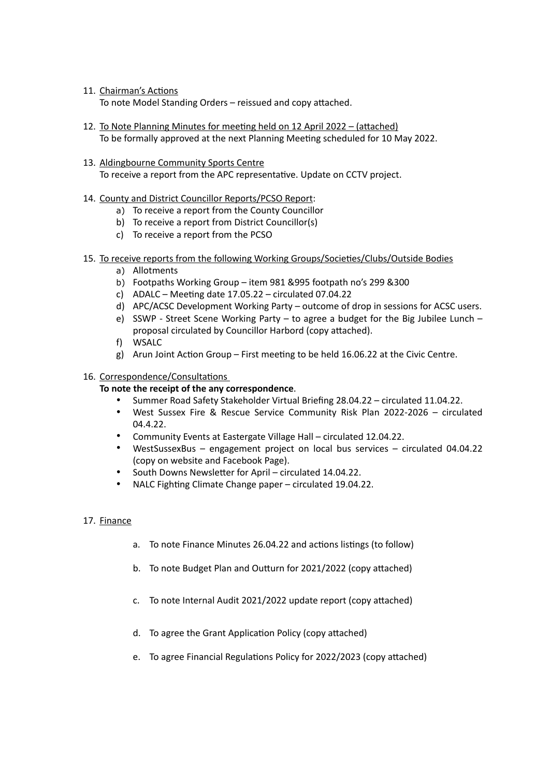11. Chairman's Actions

To note Model Standing Orders – reissued and copy attached.

- 12. To Note Planning Minutes for meeting held on 12 April 2022 (attached) To be formally approved at the next Planning Meeting scheduled for 10 May 2022.
- 13. Aldingbourne Community Sports Centre

To receive a report from the APC representative. Update on CCTV project.

- 14. County and District Councillor Reports/PCSO Report:
	- a) To receive a report from the County Councillor
	- b) To receive a report from District Councillor(s)
	- c) To receive a report from the PCSO
- 15. To receive reports from the following Working Groups/Societies/Clubs/Outside Bodies
	- a) Allotments
	- b) Footpaths Working Group item 981 &995 footpath no's 299 &300
	- c) ADALC Meeting date 17.05.22 circulated 07.04.22
	- d) APC/ACSC Development Working Party outcome of drop in sessions for ACSC users.
	- e) SSWP Street Scene Working Party to agree a budget for the Big Jubilee Lunch proposal circulated by Councillor Harbord (copy attached).
	- f) WSALC
	- g) Arun Joint Action Group First meeting to be held 16.06.22 at the Civic Centre.

### 16. Correspondence/Consultations

### **To note the receipt of the any correspondence**.

- Summer Road Safety Stakeholder Virtual Briefing 28.04.22 circulated 11.04.22.
- West Sussex Fire & Rescue Service Community Risk Plan 2022-2026 circulated 04.4.22.
- Community Events at Eastergate Village Hall circulated 12.04.22.
- WestSussexBus engagement project on local bus services circulated 04.04.22 (copy on website and Facebook Page).
- South Downs Newsletter for April circulated 14.04.22.
- NALC Fighting Climate Change paper circulated 19.04.22.

# 17. Finance

- a. To note Finance Minutes 26.04.22 and actions listings (to follow)
- b. To note Budget Plan and Outturn for 2021/2022 (copy attached)
- c. To note Internal Audit 2021/2022 update report (copy attached)
- d. To agree the Grant Application Policy (copy attached)
- e. To agree Financial Regulations Policy for 2022/2023 (copy attached)